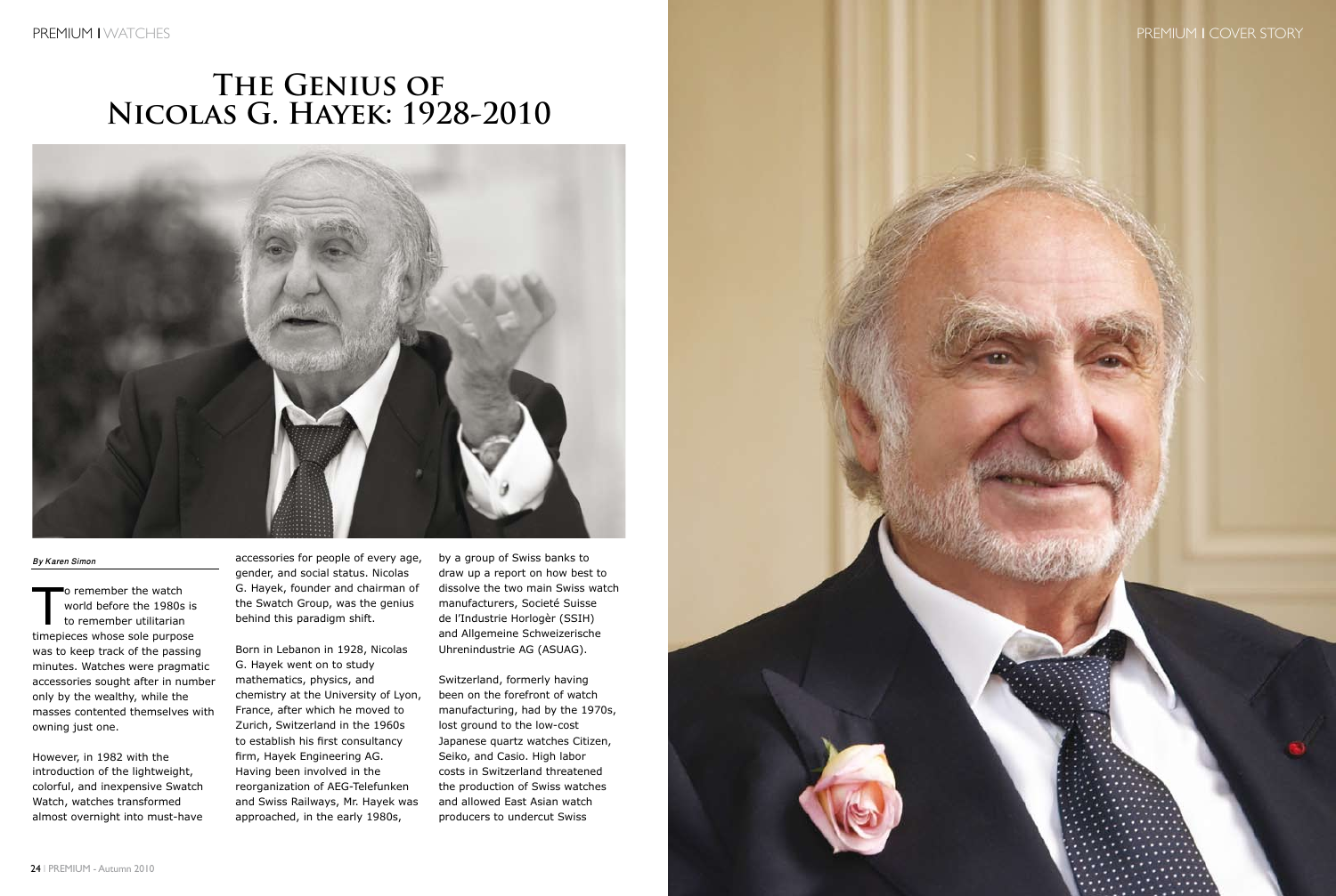### PREMIUM I COVER STORY

25 I PREMIUM - Autumn 2010

# **The Genius of Nicolas G. Hayek: 1928-2010**



#### *By Karen Simon*

To remember the watch<br>
world before the 1980s<br>
to remember utilitarian world before the 1980s is timepieces whose sole purpose was to keep track of the passing minutes. Watches were pragmatic accessories sought after in number only by the wealthy, while the masses contented themselves with owning just one.

However, in 1982 with the introduction of the lightweight, colorful, and inexpensive Swatch Watch, watches transformed almost overnight into must-have

accessories for people of every age, gender, and social status. Nicolas G. Hayek, founder and chairman of the Swatch Group, was the genius behind this paradigm shift.

Born in Lebanon in 1928, Nicolas G. Hayek went on to study mathematics, physics, and chemistry at the University of Lyon, France, after which he moved to Zurich, Switzerland in the 1960s to establish his first consultancy firm, Hayek Engineering AG. Having been involved in the reorganization of AEG-Telefunken and Swiss Railways, Mr. Hayek was approached, in the early 1980s,

by a group of Swiss banks to draw up a report on how best to dissolve the two main Swiss watch manufacturers, Societé Suisse de l'Industrie Horlogèr (SSIH) and Allgemeine Schweizerische Uhrenindustrie AG (ASUAG).

Switzerland, formerly having been on the forefront of watch manufacturing, had by the 1970s, lost ground to the low-cost Japanese quartz watches Citizen, Seiko, and Casio. High labor costs in Switzerland threatened the production of Swiss watches and allowed East Asian watch producers to undercut Swiss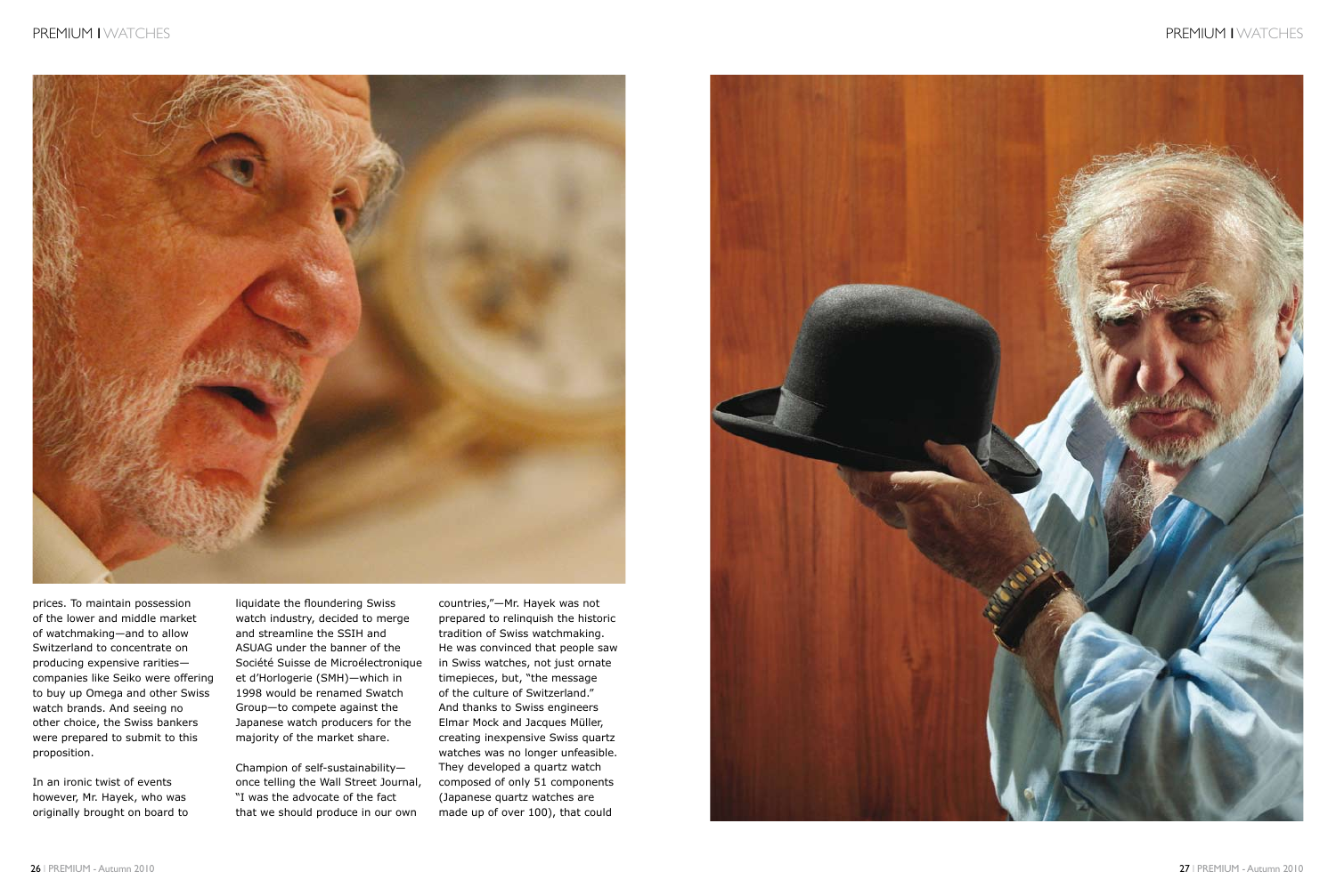

## PREMIUM I WATCHES

prices. To maintain possession of the lower and middle market of watchmaking—and to allow Switzerland to concentrate on producing expensive rarities companies like Seiko were offering to buy up Omega and other Swiss watch brands. And seeing no other choice, the Swiss bankers were prepared to submit to this proposition.

In an ironic twist of events however, Mr. Hayek, who was originally brought on board to liquidate the floundering Swiss watch industry, decided to merge and streamline the SSIH and ASUAG under the banner of the Société Suisse de Microélectronique et d'Horlogerie (SMH)—which in 1998 would be renamed Swatch Group—to compete against the Japanese watch producers for the majority of the market share.

Champion of self-sustainability once telling the Wall Street Journal, "I was the advocate of the fact that we should produce in our own

countries,"—Mr. Hayek was not prepared to relinquish the historic tradition of Swiss watchmaking. He was convinced that people saw in Swiss watches, not just ornate timepieces, but, "the message of the culture of Switzerland." And thanks to Swiss engineers Elmar Mock and Jacques Müller, creating inexpensive Swiss quartz watches was no longer unfeasible. They developed a quartz watch composed of only 51 components (Japanese quartz watches are made up of over 100), that could